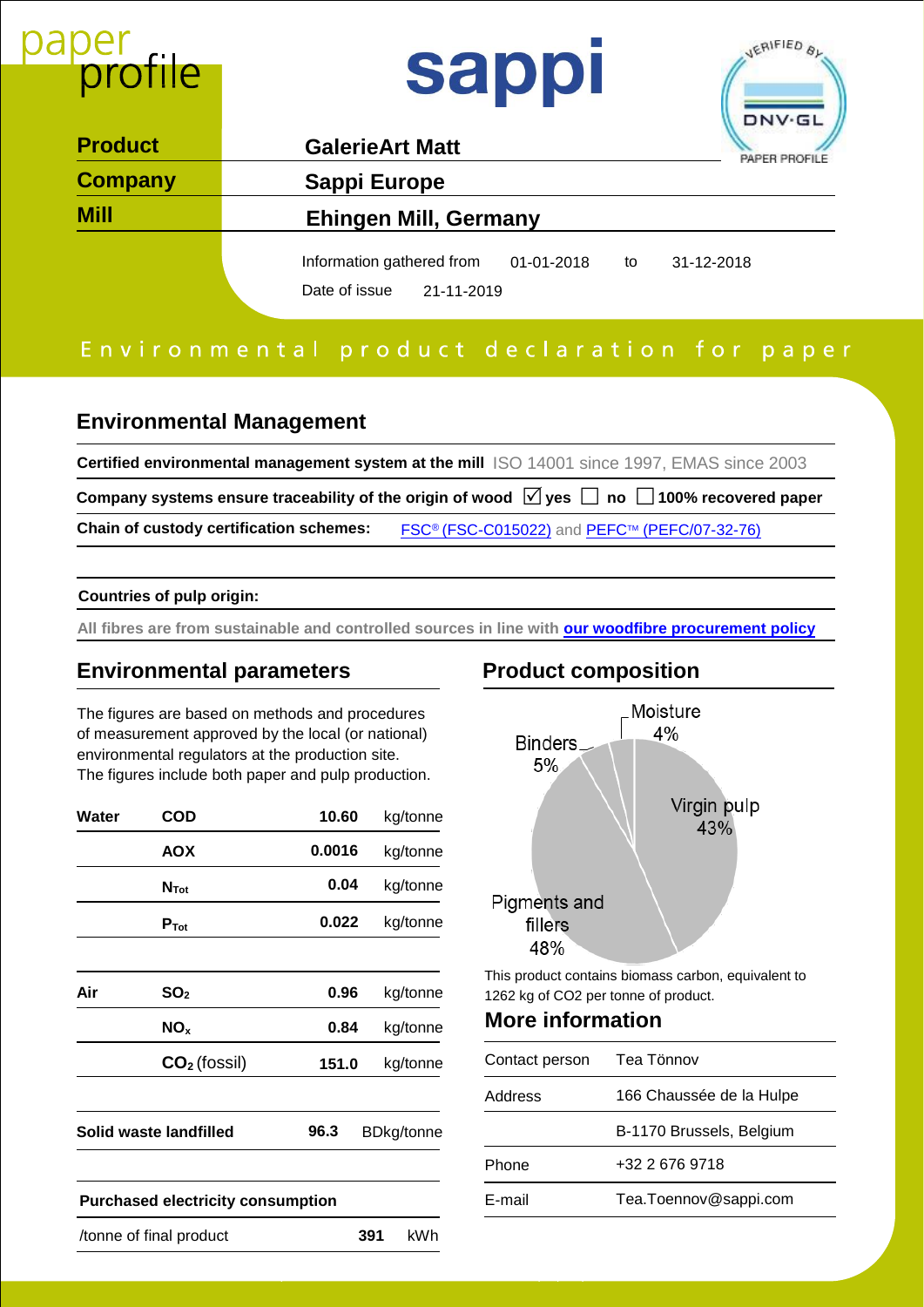

# Environmental product declaration for paper

### **Environmental Management**

**Certified environmental management system at the mill** ISO 14001 since 1997, EMAS since 2003 Company systems ensure traceability of the origin of wood  $\ \nabla$  yes  $\ \Box$  no  $\ \Box$  100% recovered paper **Chain of custody certification schemes: FSC<sup>®</sup> [\(FSC-C015022\)](https://cdn-s3.sappi.com/s3fs-public/FSC-CoC-Certificate-Sappi-Europe-Exp-2022-02-15.pdf)** and **PEFC™ [\(PEFC/07-32-76\)](https://cdn-s3.sappi.com/s3fs-public/PEFC-CoC-Certificate-Sappi-Europe-Exp-2022-02-15.pdf)** 

#### **Countries of pulp origin:**

**All fibres are from sustainable and controlled sources in line with [our woodfibre procurement policy](https://cdn-s3.sappi.com/s3fs-public/Sappi-Group-Woodfibre-Procurement-Policy.pdf)**

### **Environmental parameters Product composition**

The figures are based on methods and procedures of measurement approved by the local (or national) environmental regulators at the production site. The figures include both paper and pulp production.

| Water | COD                                      | 10.60  | kg/tonne          |                   |
|-------|------------------------------------------|--------|-------------------|-------------------|
|       | <b>AOX</b>                               | 0.0016 | kg/tonne          |                   |
|       | $N_{\text{Tot}}$                         | 0.04   | kg/tonne          |                   |
|       | $P_{\rm Tot}$                            | 0.022  | kg/tonne          | Pign              |
| Air   | SO <sub>2</sub>                          | 0.96   | kg/tonne          | This pr<br>1262 k |
|       | NO <sub>x</sub>                          | 0.84   | kg/tonne          | Mor               |
|       | $CO2$ (fossil)                           | 151.0  | kg/tonne          | Conta             |
|       |                                          |        |                   | Addre:            |
|       | Solid waste landfilled                   | 96.3   | <b>BDkg/tonne</b> |                   |
|       |                                          |        |                   | Phone             |
|       | <b>Purchased electricity consumption</b> |        |                   | E-mail            |
|       | /tonne of final product                  | 391    | kWh               |                   |

M o r e i n f o r m a t i o n a b o u t P a p e r P r o f i l e c a n b e f o u n d o n w w w . p a p e r p r o f i l e . c o m



from

This product contains biomass carbon, equivalent to 1262 kg of CO2 per tonne of product.

## **More information**

| Contact person | Tea Tönnov               |
|----------------|--------------------------|
| Address        | 166 Chaussée de la Hulpe |
|                | B-1170 Brussels, Belgium |
| Phone          | +32 2 676 9718           |
| E-mail         | Tea.Toennov@sappi.com    |
|                |                          |